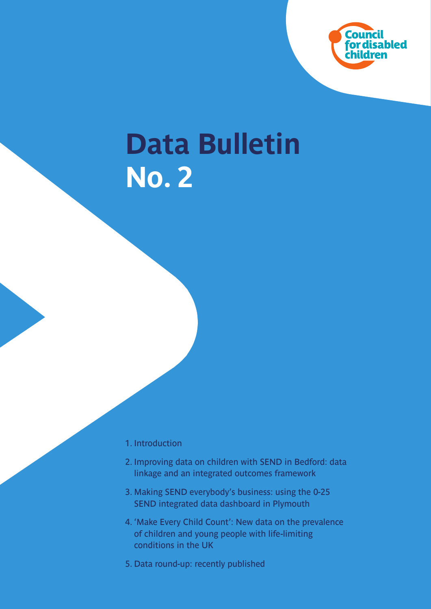

# **Data Bulletin No. 2**

- 1. Introduction
- 2. Improving data on children with SEND in Bedford: data linkage and an integrated outcomes framework
- 3. Making SEND everybody's business: using the 0-25 SEND integrated data dashboard in Plymouth
- 4. 'Make Every Child Count': New data on the prevalence of children and young people with life-limiting conditions in the UK
- 5. Data round-up: recently published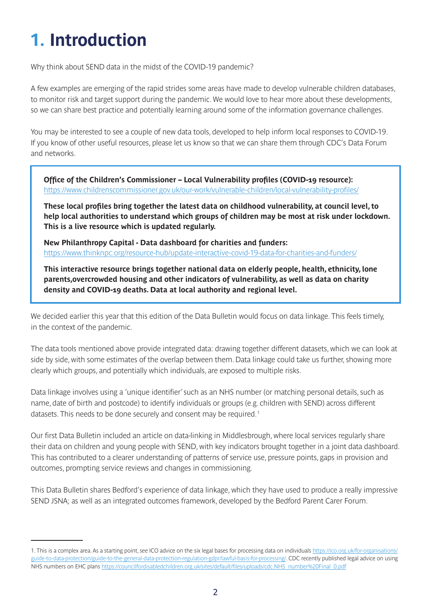# **1. Introduction**

**Why think about SEND data in the midst of the COVID-19 pandemic?** 

**A few examples are emerging of the rapid strides some areas have made to develop vulnerable children databases, to monitor risk and target support during the pandemic. We would love to hear more about these developments, so we can share best practice and potentially learning around some of the information governance challenges.** 

**You may be interested to see a couple of new data tools, developed to help inform local responses to COVID-19. If you know of other useful resources, please let us know so that we can share them through CDC's Data Forum and networks.**

**Office of the Children's Commissioner – Local Vulnerability profiles (COVID-19 resource): <https://www.childrenscommissioner.gov.uk/our-work/vulnerable-children/local-vulnerability-profiles/>**

**These local profiles bring together the latest data on childhood vulnerability, at council level, to help local authorities to understand which groups of children may be most at risk under lockdown. This is a live resource which is updated regularly.** 

**New Philanthropy Capital - Data dashboard for charities and funders: <https://www.thinknpc.org/resource-hub/update-interactive-covid-19-data-for-charities-and-funders/>**

**This interactive resource brings together national data on elderly people, health, ethnicity, lone parents,overcrowded housing and other indicators of vulnerability, as well as data on charity density and COVID-19 deaths. Data at local authority and regional level.**

**We decided earlier this year that this edition of the Data Bulletin would focus on data linkage. This feels timely, in the context of the pandemic.**

**The data tools mentioned above provide integrated data: drawing together different datasets, which we can look at side by side, with some estimates of the overlap between them. Data linkage could take us further, showing more clearly which groups, and potentially which individuals, are exposed to multiple risks.**

**Data linkage involves using a 'unique identifier' such as an NHS number (or matching personal details, such as name, date of birth and postcode) to identify individuals or groups (e.g. children with SEND) across different datasets. This needs to be done securely and consent may be required.1**

**Our first Data Bulletin included an article on data-linking in Middlesbrough, where local services regularly share their data on children and young people with SEND, with key indicators brought together in a joint data dashboard. This has contributed to a clearer understanding of patterns of service use, pressure points, gaps in provision and outcomes, prompting service reviews and changes in commissioning.**

**This Data Bulletin shares Bedford's experience of data linkage, which they have used to produce a really impressive SEND JSNA; as well as an integrated outcomes framework, developed by the Bedford Parent Carer Forum.**

**<sup>1.</sup> This is a complex area. As a starting point, see ICO advice on the six legal bases for processing data on [individuals](individuals https://ico.org.uk/for-organisations/guide-to-data-protection/guide-to-the-general-data-protection-regulation-gdpr/lawful-basis-for-processing/) [https://ico.org.uk/for-organisations/](https://ico.org.uk/for-organisations/guide-to-data-protection/guide-to-the-general-data-protection-r) [guide-to-data-protection/guide-to-the-general-data-protection-regulation-gdpr/lawful-basis-for-processing/](https://ico.org.uk/for-organisations/guide-to-data-protection/guide-to-the-general-data-protection-r). CDC recently published legal advice on using NHS numbers on EHC plans [https://councilfordisabledchildren.org.uk/sites/default/files/uploads/cdc.NHS\\_number%20Final\\_0.pdf](https://councilfordisabledchildren.org.uk/sites/default/files/uploads/cdc.NHS_number%20Final_0.pdf)**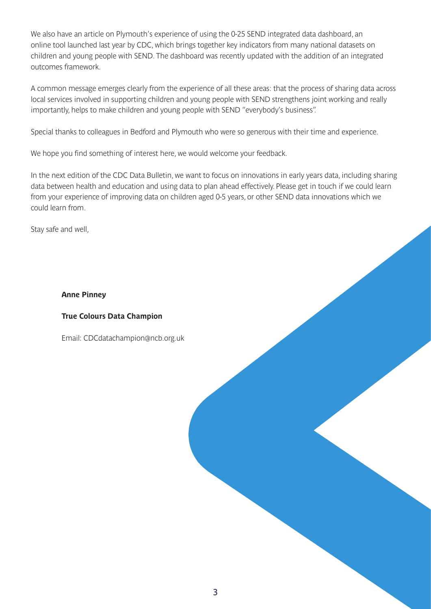**We also have an article on Plymouth's experience of using the 0-25 SEND integrated data dashboard, an online tool launched last year by CDC, which brings together key indicators from many national datasets on children and young people with SEND. The dashboard was recently updated with the addition of an integrated outcomes framework.**

**A common message emerges clearly from the experience of all these areas: that the process of sharing data across local services involved in supporting children and young people with SEND strengthens joint working and really importantly, helps to make children and young people with SEND "everybody's business".**

**Special thanks to colleagues in Bedford and Plymouth who were so generous with their time and experience.**

**We hope you find something of interest here, we would welcome your feedback.**

**In the next edition of the CDC Data Bulletin, we want to focus on innovations in early years data, including sharing data between health and education and using data to plan ahead effectively. Please get in touch if we could learn from your experience of improving data on children aged 0-5 years, or other SEND data innovations which we could learn from.**

**Stay safe and well,** 

#### **Anne Pinney**

#### **True Colours Data Champion**

**Email: [CDCdatachampion@ncb.org.uk](mailto:CDCdatachampion@ncb.org.uk)**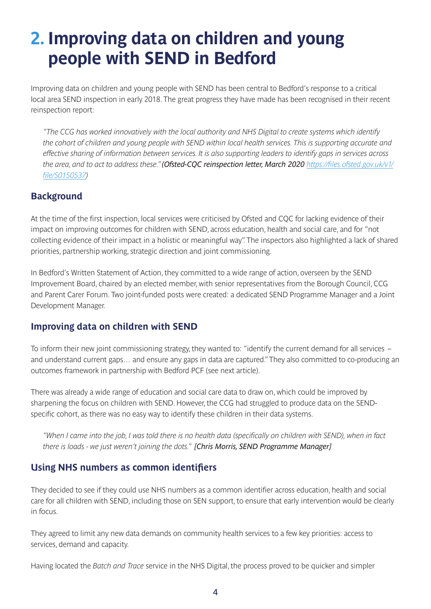## **2. Improving data on children and young people with SEND in Bedford**

**Improving data on children and young people with SEND has been central to Bedford's response to a critical local area SEND inspection in early 2018. The great progress they have made has been recognised in their recent reinspection report:**

*"The CCG has worked innovatively with the local authority and NHS Digital to create systems which identify the cohort of children and young people with SEND within local health services. This is supporting accurate and effective sharing of information between services. It is also supporting leaders to identify gaps in services across the area, and to act to address these." (Ofsted-CQC reinspection letter, March 2020 [https://files.ofsted.gov.uk/v1/](https://files.ofsted.gov.uk/v1/file/50150537) [file/50150537\)](https://files.ofsted.gov.uk/v1/file/50150537)*

### **Background**

**At the time of the first inspection, local services were criticised by Ofsted and CQC for lacking evidence of their impact on improving outcomes for children with SEND, across education, health and social care, and for "not collecting evidence of their impact in a holistic or meaningful way". The inspectors also highlighted a lack of shared priorities, partnership working, strategic direction and joint commissioning.** 

**In Bedford's Written Statement of Action, they committed to a wide range of action, overseen by the SEND Improvement Board, chaired by an elected member, with senior representatives from the Borough Council, CCG and Parent Carer Forum. Two joint-funded posts were created: a dedicated SEND Programme Manager and a Joint Development Manager.** 

### **Improving data on children with SEND**

**To inform their new joint commissioning strategy, they wanted to: "identify the current demand for all services – and understand current gaps… and ensure any gaps in data are captured." They also committed to co-producing an outcomes framework in partnership with Bedford PCF (see next article).**

**There was already a wide range of education and social care data to draw on, which could be improved by sharpening the focus on children with SEND. However, the CCG had struggled to produce data on the SENDspecific cohort, as there was no easy way to identify these children in their data systems.**

*"When I came into the job, I was told there is no health data (specifically on children with SEND), when in fact there is loads - we just weren't joining the dots." [Chris Morris, SEND Programme Manager]*

### **Using NHS numbers as common identifiers**

**They decided to see if they could use NHS numbers as a common identifier across education, health and social care for all children with SEND, including those on SEN support, to ensure that early intervention would be clearly in focus.** 

**They agreed to limit any new data demands on community health services to a few key priorities: access to services, demand and capacity.**

**Having located the** *Batch and Trace* **service in the NHS Digital, the process proved to be quicker and simpler**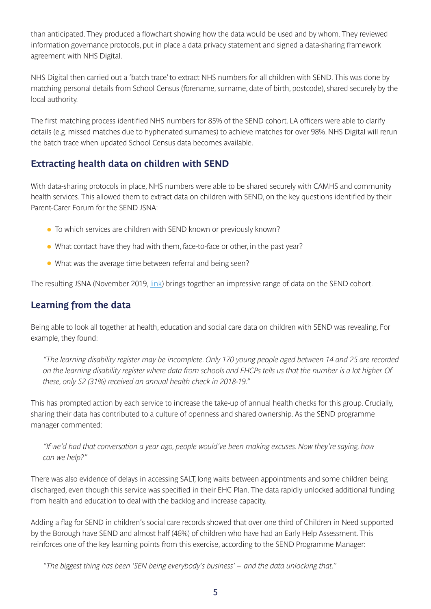**than anticipated. They produced a flowchart showing how the data would be used and by whom. They reviewed information governance protocols, put in place a data privacy statement and signed a data-sharing framework agreement with NHS Digital.** 

**NHS Digital then carried out a 'batch trace' to extract NHS numbers for all children with SEND. This was done by matching personal details from School Census (forename, surname, date of birth, postcode), shared securely by the local authority.** 

**The first matching process identified NHS numbers for 85% of the SEND cohort. LA officers were able to clarify details (e.g. missed matches due to hyphenated surnames) to achieve matches for over 98%. NHS Digital will rerun the batch trace when updated School Census data becomes available.**

### **Extracting health data on children with SEND**

**With data-sharing protocols in place, NHS numbers were able to be shared securely with CAMHS and community health services. This allowed them to extract data on children with SEND, on the key questions identified by their Parent-Carer Forum for the SEND JSNA:**

- <sup>l</sup> **To which services are children with SEND known or previously known?**
- <sup>l</sup> **What contact have they had with them, face-to-face or other, in the past year?**
- <sup>l</sup> **What was the average time between referral and being seen?**

**The resulting JSNA (November 2019, [link\)](https://bbcdevwebfiles.blob.core.windows.net/webfiles/Social%20Care%20Health%20and%20Community/Bedford%20JSNA/Bedford%20Borough%20SEND%20JSNA%202019.pdf) brings together an impressive range of data on the SEND cohort.**

### **Learning from the data**

**Being able to look all together at health, education and social care data on children with SEND was revealing. For example, they found:**

*"The learning disability register may be incomplete. Only 170 young people aged between 14 and 25 are recorded on the learning disability register where data from schools and EHCPs tells us that the number is a lot higher. Of these, only 52 (31%) received an annual health check in 2018-19."*

**This has prompted action by each service to increase the take-up of annual health checks for this group. Crucially, sharing their data has contributed to a culture of openness and shared ownership. As the SEND programme manager commented:**

*"If we'd had that conversation a year ago, people would've been making excuses. Now they're saying, how can we help?"*

**There was also evidence of delays in accessing SALT, long waits between appointments and some children being discharged, even though this service was specified in their EHC Plan. The data rapidly unlocked additional funding from health and education to deal with the backlog and increase capacity.** 

**Adding a flag for SEND in children's social care records showed that over one third of Children in Need supported by the Borough have SEND and almost half (46%) of children who have had an Early Help Assessment. This reinforces one of the key learning points from this exercise, according to the SEND Programme Manager:** 

*"The biggest thing has been 'SEN being everybody's business' – and the data unlocking that."*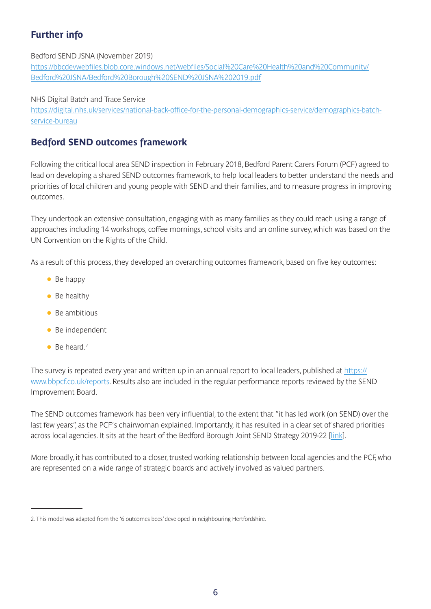### **Further info**

#### **Bedford SEND JSNA (November 2019)**

**[https://bbcdevwebfiles.blob.core.windows.net/webfiles/Social%20Care%20Health%20and%20Community/](https://bbcdevwebfiles.blob.core.windows.net/webfiles/Social%20Care%20Health%20and%20Community/Bedfo) [Bedford%20JSNA/Bedford%20Borough%20SEND%20JSNA%202019.pdf](https://bbcdevwebfiles.blob.core.windows.net/webfiles/Social%20Care%20Health%20and%20Community/Bedfo)**

**NHS Digital Batch and Trace Service** 

**[https://digital.nhs.uk/services/national-back-office-for-the-personal-demographics-service/demographics-batch](https://digital.nhs.uk/services/national-back-office-for-the-personal-demographics-service/demograph)[service-bureau](https://digital.nhs.uk/services/national-back-office-for-the-personal-demographics-service/demograph)**

### **Bedford SEND outcomes framework**

**Following the critical local area SEND inspection in February 2018, Bedford Parent Carers Forum (PCF) agreed to lead on developing a shared SEND outcomes framework, to help local leaders to better understand the needs and priorities of local children and young people with SEND and their families, and to measure progress in improving outcomes.**

**They undertook an extensive consultation, engaging with as many families as they could reach using a range of approaches including 14 workshops, coffee mornings, school visits and an online survey, which was based on the UN Convention on the Rights of the Child.** 

**As a result of this process, they developed an overarching outcomes framework, based on five key outcomes:**

- **Be happy**
- <sup>l</sup> **Be healthy**
- <sup>l</sup> **Be ambitious**
- <sup>l</sup> **Be independent**
- Be heard.<sup>2</sup>

**The survey is repeated every year and written up in an annual report to local leaders, published at [https://](https://www.bbpcf.co.uk/reports) [www.bbpcf.co.uk/reports](https://www.bbpcf.co.uk/reports). Results also are included in the regular performance reports reviewed by the SEND Improvement Board.** 

**The SEND outcomes framework has been very influential, to the extent that "it has led work (on SEND) over the last few years", as the PCF's chairwoman explained. Importantly, it has resulted in a clear set of shared priorities across local agencies. It sits at the heart of the Bedford Borough Joint SEND Strategy 2019-22 [\[li](https://search3.openobjects.com/mediamanager/bedford/directory/files/bedford_borough_joint_send_strategy_2019-2022.pdf)nk].** 

**More broadly, it has contributed to a closer, trusted working relationship between local agencies and the PCF, who are represented on a wide range of strategic boards and actively involved as valued partners.**

**<sup>2.</sup> This model was adapted from the '6 outcomes bees' developed in neighbouring Hertfordshire.**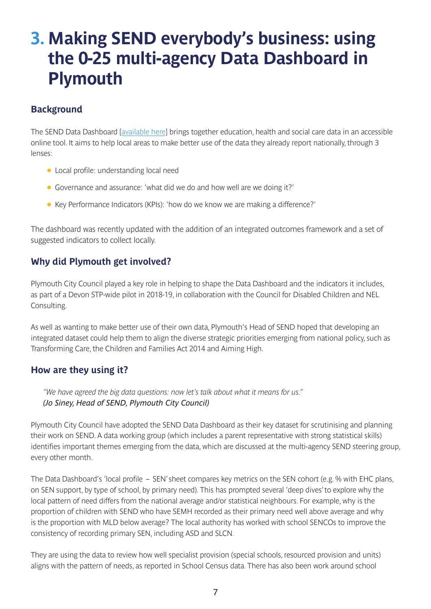### **3. Making SEND everybody's business: using the 0-25 multi-agency Data Dashboard in Plymouth**

### **Background**

**The SEND Data Dashboard [\[available here\]](https://councilfordisabledchildren.org.uk/help-resources/resources/0-25-multi-agency-send-data-dashboard) brings together education, health and social care data in an accessible online tool. It aims to help local areas to make better use of the data they already report nationally, through 3 lenses:**

- <sup>l</sup> **Local profile: understanding local need**
- <sup>l</sup> **Governance and assurance: 'what did we do and how well are we doing it?'**
- <sup>l</sup> **Key Performance Indicators (KPIs): 'how do we know we are making a difference?'**

**The dashboard was recently updated with the addition of an integrated outcomes framework and a set of suggested indicators to collect locally.** 

### **Why did Plymouth get involved?**

**Plymouth City Council played a key role in helping to shape the Data Dashboard and the indicators it includes, as part of a Devon STP-wide pilot in 2018-19, in collaboration with the Council for Disabled Children and NEL Consulting.** 

**As well as wanting to make better use of their own data, Plymouth's Head of SEND hoped that developing an integrated dataset could help them to align the diverse strategic priorities emerging from national policy, such as Transforming Care, the Children and Families Act 2014 and Aiming High.**

### **How are they using it?**

*"We have agreed the big data questions: now let's talk about what it means for us." (Jo Siney, Head of SEND, Plymouth City Council)*

**Plymouth City Council have adopted the SEND Data Dashboard as their key dataset for scrutinising and planning their work on SEND. A data working group (which includes a parent representative with strong statistical skills) identifies important themes emerging from the data, which are discussed at the multi-agency SEND steering group, every other month.**

**The Data Dashboard's 'local profile – SEN' sheet compares key metrics on the SEN cohort (e.g. % with EHC plans, on SEN support, by type of school, by primary need). This has prompted several 'deep dives' to explore why the local pattern of need differs from the national average and/or statistical neighbours. For example, why is the proportion of children with SEND who have SEMH recorded as their primary need well above average and why is the proportion with MLD below average? The local authority has worked with school SENCOs to improve the consistency of recording primary SEN, including ASD and SLCN.** 

**They are using the data to review how well specialist provision (special schools, resourced provision and units) aligns with the pattern of needs, as reported in School Census data. There has also been work around school**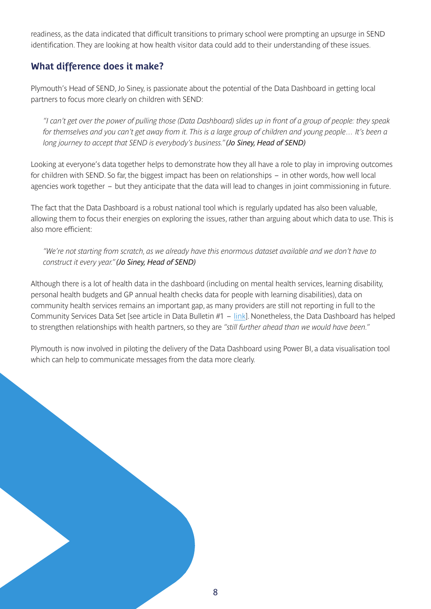**readiness, as the data indicated that difficult transitions to primary school were prompting an upsurge in SEND identification. They are looking at how health visitor data could add to their understanding of these issues.**

### **What difference does it make?**

**Plymouth's Head of SEND, Jo Siney, is passionate about the potential of the Data Dashboard in getting local partners to focus more clearly on children with SEND:**

*"I can't get over the power of pulling those (Data Dashboard) slides up in front of a group of people: they speak*  for themselves and you can't get away from it. This is a large group of children and young people... It's been a *long journey to accept that SEND is everybody's business." (Jo Siney, Head of SEND)*

**Looking at everyone's data together helps to demonstrate how they all have a role to play in improving outcomes for children with SEND. So far, the biggest impact has been on relationships – in other words, how well local agencies work together – but they anticipate that the data will lead to changes in joint commissioning in future.**

**The fact that the Data Dashboard is a robust national tool which is regularly updated has also been valuable, allowing them to focus their energies on exploring the issues, rather than arguing about which data to use. This is also more efficient:** 

*"We're not starting from scratch, as we already have this enormous dataset available and we don't have to construct it every year." (Jo Siney, Head of SEND)*

**Although there is a lot of health data in the dashboard (including on mental health services, learning disability, personal health budgets and GP annual health checks data for people with learning disabilities), data on community health services remains an important gap, as many providers are still not reporting in full to the Community Services Data Set [see article in Data Bulletin #1 – [link](https://councilfordisabledchildren.org.uk/help-resources/resources/send-data-bulletins)]. Nonetheless, the Data Dashboard has helped to strengthen relationships with health partners, so they are** *"still further ahead than we would have been."*

**Plymouth is now involved in piloting the delivery of the Data Dashboard using Power BI, a data visualisation tool which can help to communicate messages from the data more clearly.**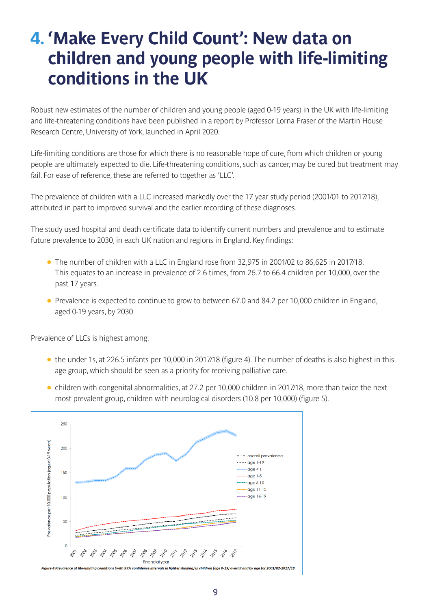### **4. 'Make Every Child Count': New data on children and young people with life-limiting conditions in the UK**

**Robust new estimates of the number of children and young people (aged 0-19 years) in the UK with life-limiting and life-threatening conditions have been published in a report by Professor Lorna Fraser of the Martin House Research Centre, University of York, launched in April 2020.** 

**Life-limiting conditions are those for which there is no reasonable hope of cure, from which children or young people are ultimately expected to die. Life-threatening conditions, such as cancer, may be cured but treatment may fail. For ease of reference, these are referred to together as 'LLC'.** 

**The prevalence of children with a LLC increased markedly over the 17 year study period (2001/01 to 2017/18), attributed in part to improved survival and the earlier recording of these diagnoses.** 

**The study used hospital and death certificate data to identify current numbers and prevalence and to estimate future prevalence to 2030, in each UK nation and regions in England. Key findings:**

- <sup>l</sup> **The number of children with a LLC in England rose from 32,975 in 2001/02 to 86,625 in 2017/18. This equates to an increase in prevalence of 2.6 times, from 26.7 to 66.4 children per 10,000, over the past 17 years.**
- **•** Prevalence is expected to continue to grow to between 67.0 and 84.2 per 10,000 children in England, **aged 0-19 years, by 2030.**

**Prevalence of LLCs is highest among:**

- <sup>l</sup> **the under 1s, at 226.5 infants per 10,000 in 2017/18 (figure 4). The number of deaths is also highest in this age group, which should be seen as a priority for receiving palliative care.**
- <sup>l</sup> **children with congenital abnormalities, at 27.2 per 10,000 children in 2017/18, more than twice the next most prevalent group, children with neurological disorders (10.8 per 10,000) (figure 5).**

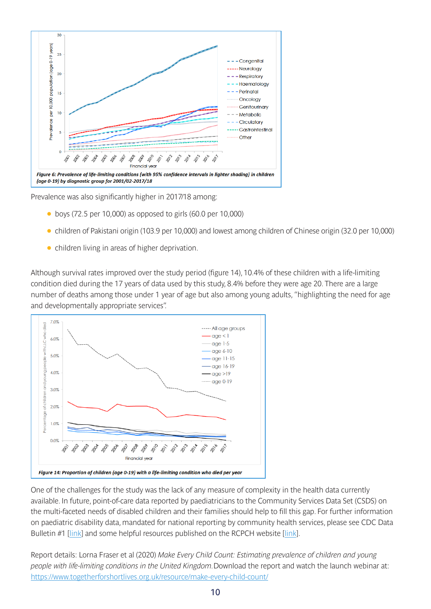

**Prevalence was also significantly higher in 2017/18 among:**

- <sup>l</sup> **boys (72.5 per 10,000) as opposed to girls (60.0 per 10,000)**
- <sup>l</sup> **children of Pakistani origin (103.9 per 10,000) and lowest among children of Chinese origin (32.0 per 10,000)**
- **•** children living in areas of higher deprivation.

**Although survival rates improved over the study period (figure 14), 10.4% of these children with a life-limiting condition died during the 17 years of data used by this study, 8.4% before they were age 20. There are a large number of deaths among those under 1 year of age but also among young adults, "highlighting the need for age and developmentally appropriate services".**



**One of the challenges for the study was the lack of any measure of complexity in the health data currently available. In future, point-of-care data reported by paediatricians to the Community Services Data Set (CSDS) on the multi-faceted needs of disabled children and their families should help to fill this gap. For further information on paediatric disability data, mandated for national reporting by community health services, please see CDC Data Bulletin #1 [\[link](https://councilfordisabledchildren.org.uk/sites/default/files/field/attachemnt/CDC%20Data%20Bulletin%20%231%20%28July%202019%29.pdf)] and some helpful resources published on the RCPCH website [\[link](https://www.rcpch.ac.uk/resources/snomed-ct-best-practice-videos)].**

**Report details: Lorna Fraser et al (2020)** *Make Every Child Count: Estimating prevalence of children and young people with life-limiting conditions in the United Kingdom.***Download the report and watch the launch webinar at: [https://www.togetherforshortlives.org.uk/resource/make-every-child-count/](https://www.togetherforshortlives.org.uk/resource/make-every-child-count/ )**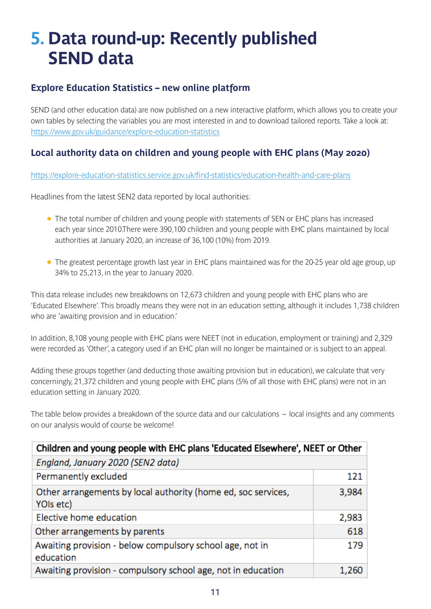# **5. Data round-up: Recently published SEND data**

### **Explore Education Statistics – new online platform**

**SEND (and other education data) are now published on a new interactive platform, which allows you to create your own tables by selecting the variables you are most interested in and to download tailored reports. Take a look at: <https://www.gov.uk/guidance/explore-education-statistics>**

### **Local authority data on children and young people with EHC plans (May 2020)**

**<https://explore-education-statistics.service.gov.uk/find-statistics/education-health-and-care-plans>**

**Headlines from the latest SEN2 data reported by local authorities:** 

- <sup>l</sup> **The total number of children and young people with statements of SEN or EHC plans has increased each year since 2010.There were 390,100 children and young people with EHC plans maintained by local authorities at January 2020, an increase of 36,100 (10%) from 2019.**
- **•** The greatest percentage growth last year in EHC plans maintained was for the 20-25 year old age group, up **34% to 25,213, in the year to January 2020.**

**This data release includes new breakdowns on 12,673 children and young people with EHC plans who are 'Educated Elsewhere'. This broadly means they were not in an education setting, although it includes 1,738 children who are 'awaiting provision and in education.'** 

**In addition, 8,108 young people with EHC plans were NEET (not in education, employment or training) and 2,329 were recorded as 'Other', a category used if an EHC plan will no longer be maintained or is subject to an appeal.**

**Adding these groups together (and deducting those awaiting provision but in education), we calculate that very concerningly, 21,372 children and young people with EHC plans (5% of all those with EHC plans) were not in an education setting in January 2020.** 

**The table below provides a breakdown of the source data and our calculations – local insights and any comments on our analysis would of course be welcome!**

| Children and young people with EHC plans 'Educated Elsewhere', NEET or Other |       |
|------------------------------------------------------------------------------|-------|
| England, January 2020 (SEN2 data)                                            |       |
| Permanently excluded                                                         | 121   |
| Other arrangements by local authority (home ed, soc services,<br>YOIs etc)   | 3,984 |
| Elective home education                                                      | 2,983 |
| Other arrangements by parents                                                | 618   |
| Awaiting provision - below compulsory school age, not in<br>education        | 179   |
| Awaiting provision - compulsory school age, not in education                 | 1,260 |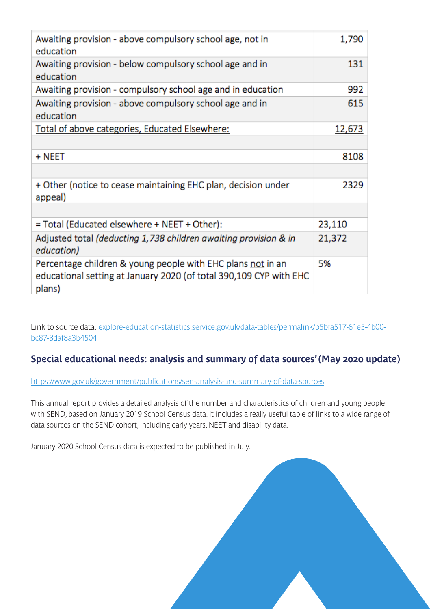| Awaiting provision - above compulsory school age, not in<br>education                                                                       | 1,790  |
|---------------------------------------------------------------------------------------------------------------------------------------------|--------|
| Awaiting provision - below compulsory school age and in<br>education                                                                        | 131    |
| Awaiting provision - compulsory school age and in education                                                                                 | 992    |
| Awaiting provision - above compulsory school age and in<br>education                                                                        | 615    |
| Total of above categories, Educated Elsewhere:                                                                                              | 12,673 |
|                                                                                                                                             |        |
| + NEET                                                                                                                                      | 8108   |
|                                                                                                                                             |        |
| + Other (notice to cease maintaining EHC plan, decision under<br>appeal)                                                                    | 2329   |
|                                                                                                                                             |        |
| = Total (Educated elsewhere + NEET + Other):                                                                                                | 23,110 |
| Adjusted total (deducting 1,738 children awaiting provision & in<br>education)                                                              | 21,372 |
| Percentage children & young people with EHC plans not in an<br>educational setting at January 2020 (of total 390,109 CYP with EHC<br>plans) | 5%     |

**Link to source data: [explore-education-statistics.service.gov.uk/data-tables/permalink/b5bfa517-61e5-4b00](http://explore-education-statistics.service.gov.uk/data-tables/permalink/b5bfa517-61e5-4b00-bc87-8daf8a3b4504) [bc87-8daf8a3b4504](http://explore-education-statistics.service.gov.uk/data-tables/permalink/b5bfa517-61e5-4b00-bc87-8daf8a3b4504)**

### **Special educational needs: analysis and summary of data sources' (May 2020 update)**

**<https://www.gov.uk/government/publications/sen-analysis-and-summary-of-data-sources>**

**This annual report provides a detailed analysis of the number and characteristics of children and young people with SEND, based on January 2019 School Census data. It includes a really useful table of links to a wide range of data sources on the SEND cohort, including early years, NEET and disability data.** 

**January 2020 School Census data is expected to be published in July.**